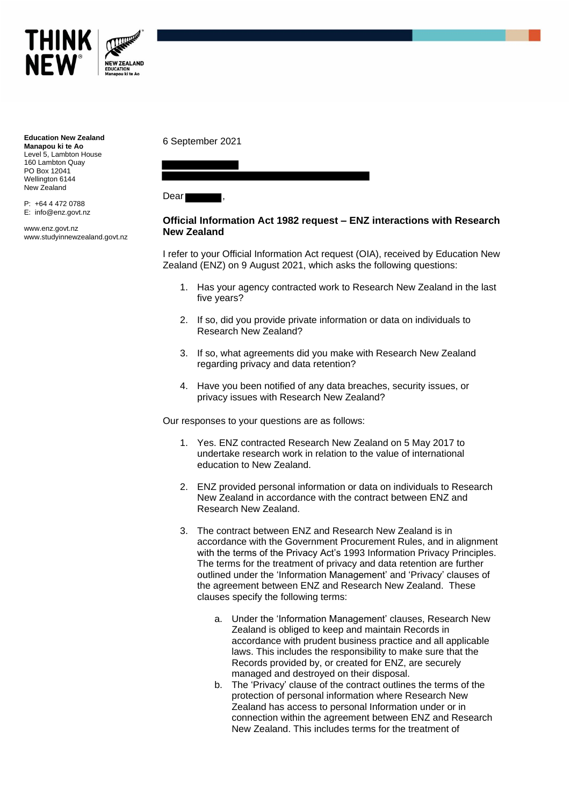

**Education New Zealand Manapou ki te Ao** Level 5, Lambton House 160 Lambton Quay PO Box 12041 Wellington 6144 New Zealand

P: +64 4 472 0788 E: info@enz.govt.nz

www.enz.govt.nz www.studyinnewzealand.govt.nz 6 September 2021

Dear I

## **Official Information Act 1982 request – ENZ interactions with Research New Zealand**

I refer to your Official Information Act request (OIA), received by Education New Zealand (ENZ) on 9 August 2021, which asks the following questions:

- 1. Has your agency contracted work to Research New Zealand in the last five years?
- 2. If so, did you provide private information or data on individuals to Research New Zealand?
- 3. If so, what agreements did you make with Research New Zealand regarding privacy and data retention?
- 4. Have you been notified of any data breaches, security issues, or privacy issues with Research New Zealand?

Our responses to your questions are as follows:

- 1. Yes. ENZ contracted Research New Zealand on 5 May 2017 to undertake research work in relation to the value of international education to New Zealand.
- 2. ENZ provided personal information or data on individuals to Research New Zealand in accordance with the contract between ENZ and Research New Zealand.
- 3. The contract between ENZ and Research New Zealand is in accordance with the Government Procurement Rules, and in alignment with the terms of the Privacy Act's 1993 Information Privacy Principles. The terms for the treatment of privacy and data retention are further outlined under the 'Information Management' and 'Privacy' clauses of the agreement between ENZ and Research New Zealand. These clauses specify the following terms:
	- a. Under the 'Information Management' clauses, Research New Zealand is obliged to keep and maintain Records in accordance with prudent business practice and all applicable laws. This includes the responsibility to make sure that the Records provided by, or created for ENZ, are securely managed and destroyed on their disposal.
	- b. The 'Privacy' clause of the contract outlines the terms of the protection of personal information where Research New Zealand has access to personal Information under or in connection within the agreement between ENZ and Research New Zealand. This includes terms for the treatment of